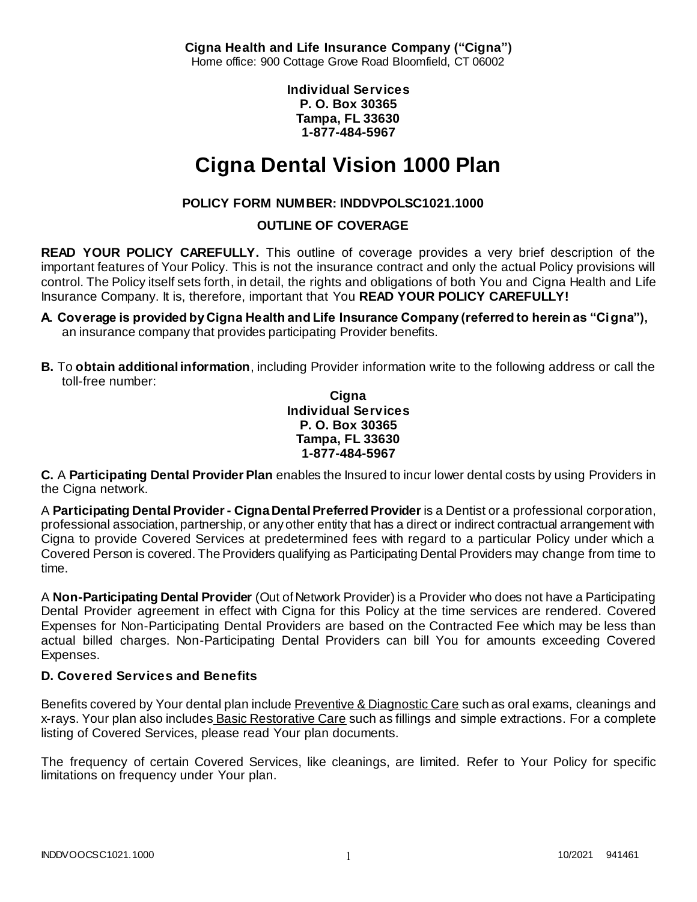**Cigna Health and Life Insurance Company ("Cigna")** Home office: 900 Cottage Grove Road Bloomfield, CT 06002

> **Individual Services P. O. Box 30365 Tampa, FL 33630 1-877-484-5967**

# **Cigna Dental Vision 1000 Plan**

# **POLICY FORM NUMBER: INDDVPOLSC1021.1000**

**OUTLINE OF COVERAGE** 

**READ YOUR POLICY CAREFULLY.** This outline of coverage provides a very brief description of the important features of Your Policy. This is not the insurance contract and only the actual Policy provisions will control. The Policy itself sets forth, in detail, the rights and obligations of both You and Cigna Health and Life Insurance Company. It is, therefore, important that You **READ YOUR POLICY CAREFULLY!** 

- **A. Coverage is provided by Cigna Health and Life Insurance Company (referred to herein as "Cigna"),**  an insurance company that provides participating Provider benefits.
- **B.** To **obtain additional information**, including Provider information write to the following address or call the toll-free number:

**Cigna Individual Services P. O. Box 30365 Tampa, FL 33630 1-877-484-5967**

**C.** A **Participating Dental Provider Plan** enables the Insured to incur lower dental costs by using Providers in the Cigna network.

A **Participating Dental Provider - Cigna Dental Preferred Provider** is a Dentist or a professional corporation, professional association, partnership, or any other entity that has a direct or indirect contractual arrangement with Cigna to provide Covered Services at predetermined fees with regard to a particular Policy under which a Covered Person is covered. The Providers qualifying as Participating Dental Providers may change from time to time.

A **Non-Participating Dental Provider** (Out of Network Provider) is a Provider who does not have a Participating Dental Provider agreement in effect with Cigna for this Policy at the time services are rendered. Covered Expenses for Non-Participating Dental Providers are based on the Contracted Fee which may be less than actual billed charges. Non-Participating Dental Providers can bill You for amounts exceeding Covered Expenses.

# **D. Covered Services and Benefits**

Benefits covered by Your dental plan include Preventive & Diagnostic Care such as oral exams, cleanings and x-rays. Your plan also includes Basic Restorative Care such as fillings and simple extractions. For a complete listing of Covered Services, please read Your plan documents.

The frequency of certain Covered Services, like cleanings, are limited. Refer to Your Policy for specific limitations on frequency under Your plan.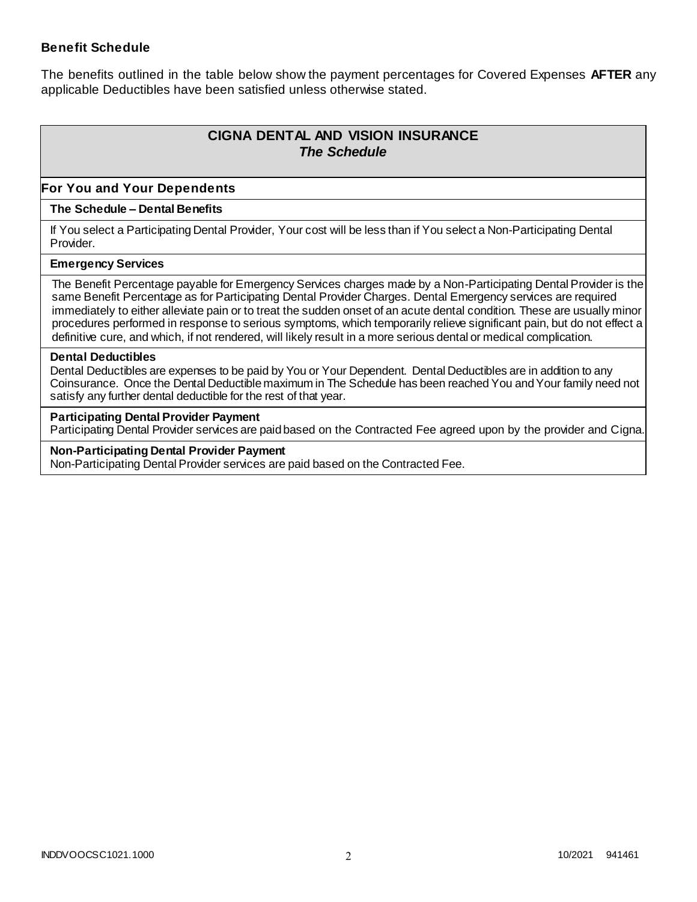### **Benefit Schedule**

The benefits outlined in the table below show the payment percentages for Covered Expenses **AFTER** any applicable Deductibles have been satisfied unless otherwise stated.

# **CIGNA DENTAL AND VISION INSURANCE** *The Schedule*

### **For You and Your Dependents**

### **The Schedule – Dental Benefits**

If You select a Participating Dental Provider, Your cost will be less than if You select a Non-Participating Dental Provider.

#### **Emergency Services**

The Benefit Percentage payable for Emergency Services charges made by a Non-Participating Dental Provider is the same Benefit Percentage as for Participating Dental Provider Charges. Dental Emergency services are required immediately to either alleviate pain or to treat the sudden onset of an acute dental condition. These are usually minor procedures performed in response to serious symptoms, which temporarily relieve significant pain, but do not effect a definitive cure, and which, if not rendered, will likely result in a more serious dental or medical complication.

#### **Dental Deductibles**

Dental Deductibles are expenses to be paid by You or Your Dependent. Dental Deductibles are in addition to any Coinsurance. Once the Dental Deductible maximum in The Schedule has been reached You and Your family need not satisfy any further dental deductible for the rest of that year.

#### **Participating Dental Provider Payment**

Participating Dental Provider services are paid based on the Contracted Fee agreed upon by the provider and Cigna.

**Non-Participating Dental Provider Payment** Non-Participating Dental Provider services are paid based on the Contracted Fee.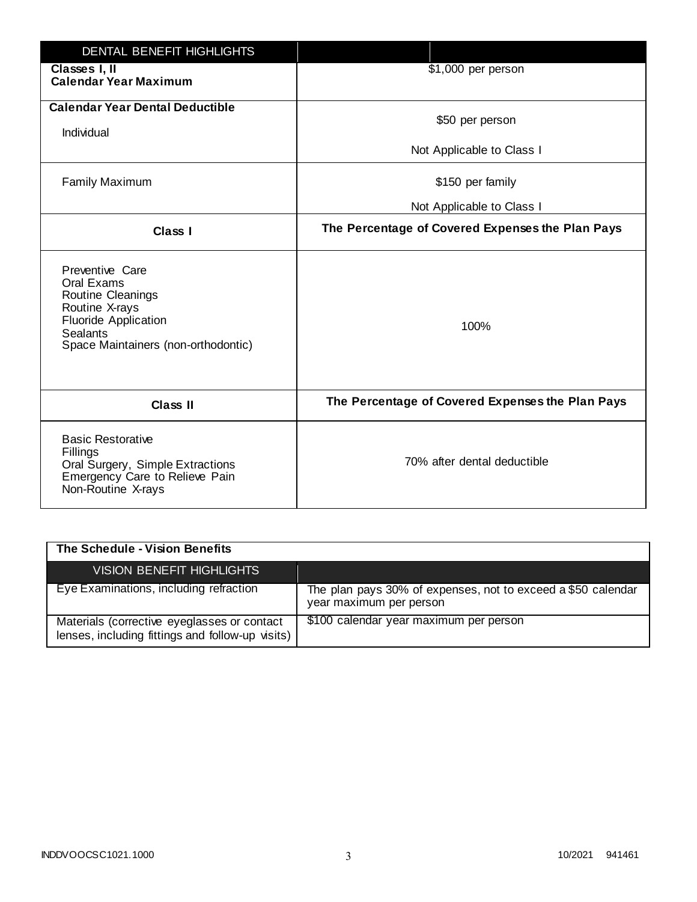| DENTAL BENEFIT HIGHLIGHTS                                                                                                                                     |                                                  |
|---------------------------------------------------------------------------------------------------------------------------------------------------------------|--------------------------------------------------|
| Classes I, II<br><b>Calendar Year Maximum</b>                                                                                                                 | \$1,000 per person                               |
| <b>Calendar Year Dental Deductible</b><br>Individual                                                                                                          | \$50 per person                                  |
|                                                                                                                                                               | Not Applicable to Class I                        |
| <b>Family Maximum</b>                                                                                                                                         | \$150 per family                                 |
|                                                                                                                                                               | Not Applicable to Class I                        |
| <b>Class I</b>                                                                                                                                                | The Percentage of Covered Expenses the Plan Pays |
| Preventive Care<br>Oral Exams<br>Routine Cleanings<br>Routine X-rays<br><b>Fluoride Application</b><br><b>Sealants</b><br>Space Maintainers (non-orthodontic) | 100%                                             |
| <b>Class II</b>                                                                                                                                               | The Percentage of Covered Expenses the Plan Pays |
| <b>Basic Restorative</b><br>Fillings<br>Oral Surgery, Simple Extractions<br>Emergency Care to Relieve Pain<br>Non-Routine X-rays                              | 70% after dental deductible                      |

| The Schedule - Vision Benefits                                                                  |                                                                                         |
|-------------------------------------------------------------------------------------------------|-----------------------------------------------------------------------------------------|
| VISION BENEFIT HIGHLIGHTS                                                                       |                                                                                         |
| Eye Examinations, including refraction                                                          | The plan pays 30% of expenses, not to exceed a \$50 calendar<br>year maximum per person |
| Materials (corrective eyeglasses or contact<br>lenses, including fittings and follow-up visits) | \$100 calendar year maximum per person                                                  |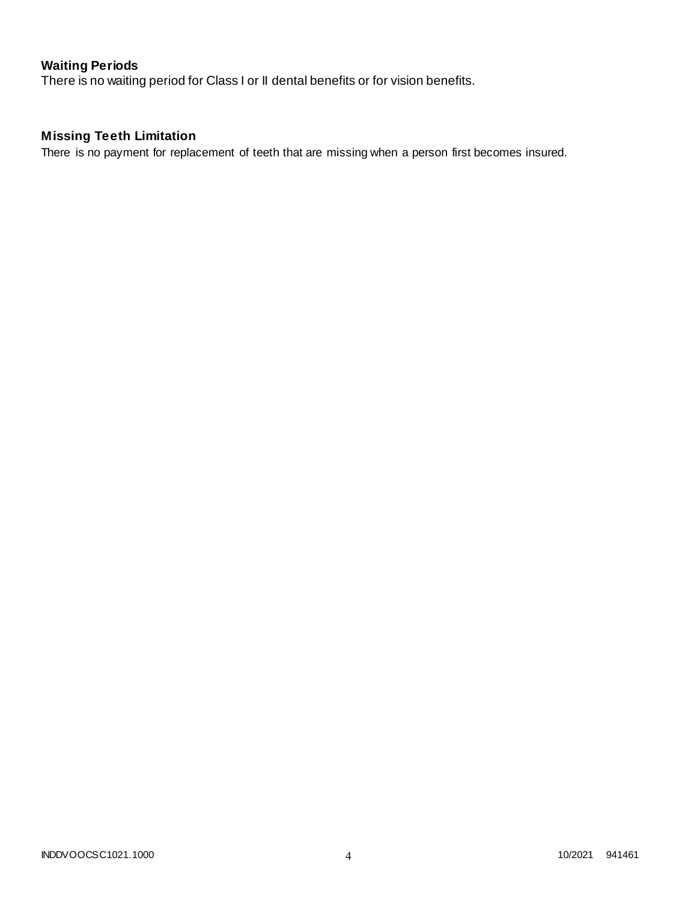# **Waiting Periods**

There is no waiting period for Class I or II dental benefits or for vision benefits.

# **Missing Teeth Limitation**

There is no payment for replacement of teeth that are missing when a person first becomes insured.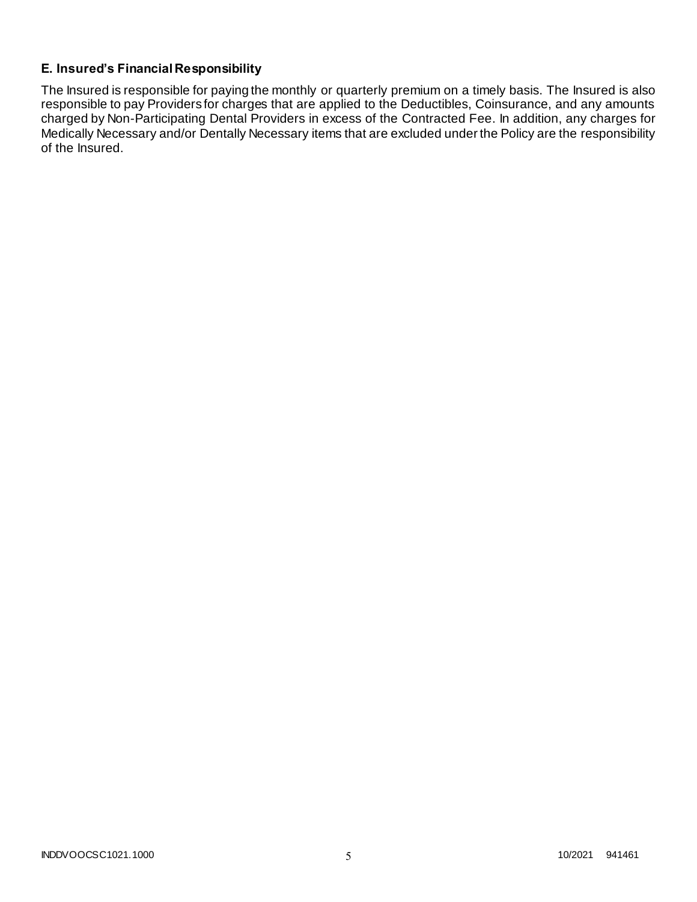# **E. Insured's Financial Responsibility**

The Insured is responsible for paying the monthly or quarterly premium on a timely basis. The Insured is also responsible to pay Providers for charges that are applied to the Deductibles, Coinsurance, and any amounts charged by Non-Participating Dental Providers in excess of the Contracted Fee. In addition, any charges for Medically Necessary and/or Dentally Necessary items that are excluded under the Policy are the responsibility of the Insured.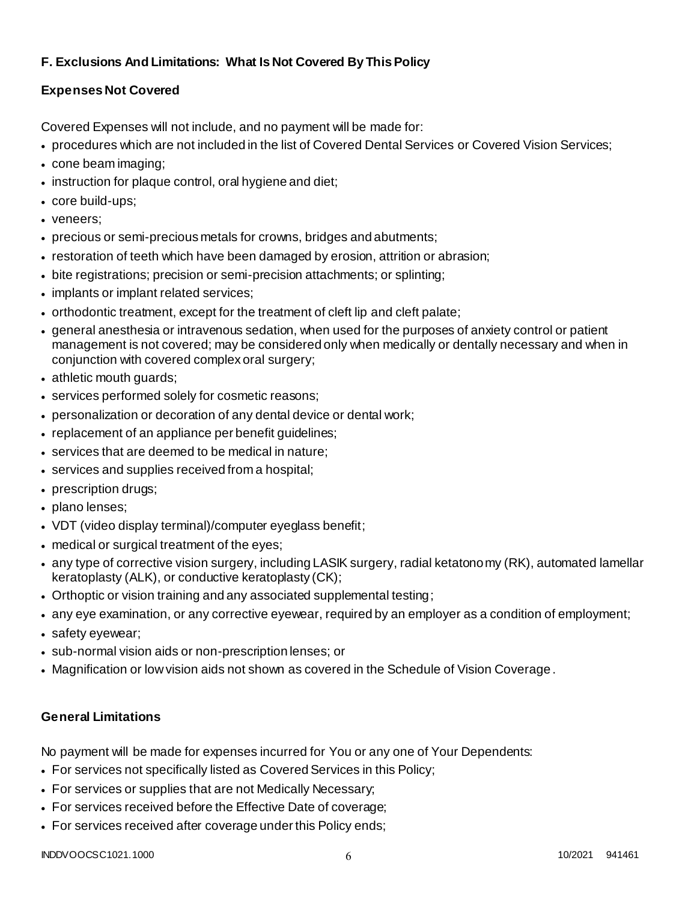# **F. Exclusions And Limitations: What Is Not Covered By This Policy**

# **Expenses Not Covered**

Covered Expenses will not include, and no payment will be made for:

- procedures which are not included in the list of Covered Dental Services or Covered Vision Services;
- cone beam imaging;
- instruction for plaque control, oral hygiene and diet;
- core build-ups;
- veneers;
- precious or semi-precious metals for crowns, bridges and abutments;
- restoration of teeth which have been damaged by erosion, attrition or abrasion;
- bite registrations; precision or semi-precision attachments; or splinting;
- implants or implant related services;
- orthodontic treatment, except for the treatment of cleft lip and cleft palate;
- general anesthesia or intravenous sedation, when used for the purposes of anxiety control or patient management is not covered; may be considered only when medically or dentally necessary and when in conjunction with covered complex oral surgery;
- athletic mouth guards;
- services performed solely for cosmetic reasons;
- personalization or decoration of any dental device or dental work;
- replacement of an appliance per benefit quidelines;
- services that are deemed to be medical in nature;
- services and supplies received from a hospital;
- prescription drugs;
- plano lenses;
- VDT (video display terminal)/computer eyeglass benefit;
- medical or surgical treatment of the eyes;
- any type of corrective vision surgery, including LASIK surgery, radial ketatonomy (RK), automated lamellar keratoplasty (ALK), or conductive keratoplasty (CK);
- Orthoptic or vision training and any associated supplemental testing;
- any eye examination, or any corrective eyewear, required by an employer as a condition of employment;
- safety eyewear;
- sub-normal vision aids or non-prescription lenses; or
- Magnification or low vision aids not shown as covered in the Schedule of Vision Coverage.

# **General Limitations**

No payment will be made for expenses incurred for You or any one of Your Dependents:

- For services not specifically listed as Covered Services in this Policy;
- For services or supplies that are not Medically Necessary;
- For services received before the Effective Date of coverage;
- For services received after coverage under this Policy ends;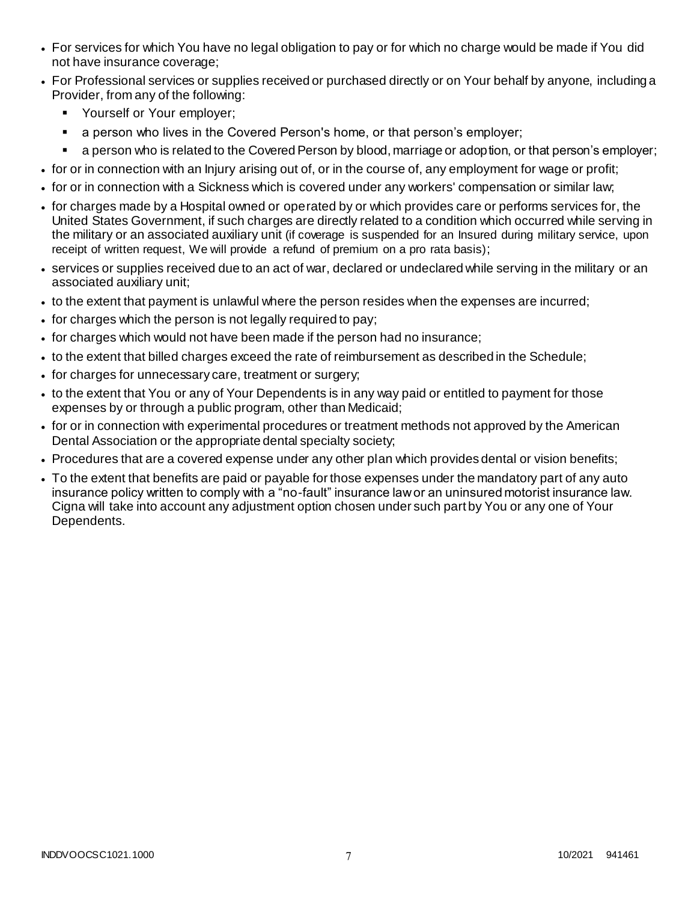- For services for which You have no legal obligation to pay or for which no charge would be made if You did not have insurance coverage;
- For Professional services or supplies received or purchased directly or on Your behalf by anyone, including a Provider, from any of the following:
	- **Yourself or Your employer;**
	- **a** person who lives in the Covered Person's home, or that person's employer;
	- a person who is related to the Covered Person by blood, marriage or adoption, or that person's employer;
- for or in connection with an Injury arising out of, or in the course of, any employment for wage or profit;
- for or in connection with a Sickness which is covered under any workers' compensation or similar law;
- for charges made by a Hospital owned or operated by or which provides care or performs services for, the United States Government, if such charges are directly related to a condition which occurred while serving in the military or an associated auxiliary unit (if coverage is suspended for an Insured during military service, upon receipt of written request, We will provide a refund of premium on a pro rata basis);
- services or supplies received due to an act of war, declared or undeclared while serving in the military or an associated auxiliary unit;
- to the extent that payment is unlawful where the person resides when the expenses are incurred;
- for charges which the person is not legally required to pay;
- for charges which would not have been made if the person had no insurance;
- to the extent that billed charges exceed the rate of reimbursement as described in the Schedule;
- for charges for unnecessary care, treatment or surgery;
- to the extent that You or any of Your Dependents is in any way paid or entitled to payment for those expenses by or through a public program, other than Medicaid;
- for or in connection with experimental procedures or treatment methods not approved by the American Dental Association or the appropriate dental specialty society;
- Procedures that are a covered expense under any other plan which provides dental or vision benefits;
- To the extent that benefits are paid or payable for those expenses under the mandatory part of any auto insurance policy written to comply with a "no-fault" insurance law or an uninsured motorist insurance law. Cigna will take into account any adjustment option chosen under such part by You or any one of Your Dependents.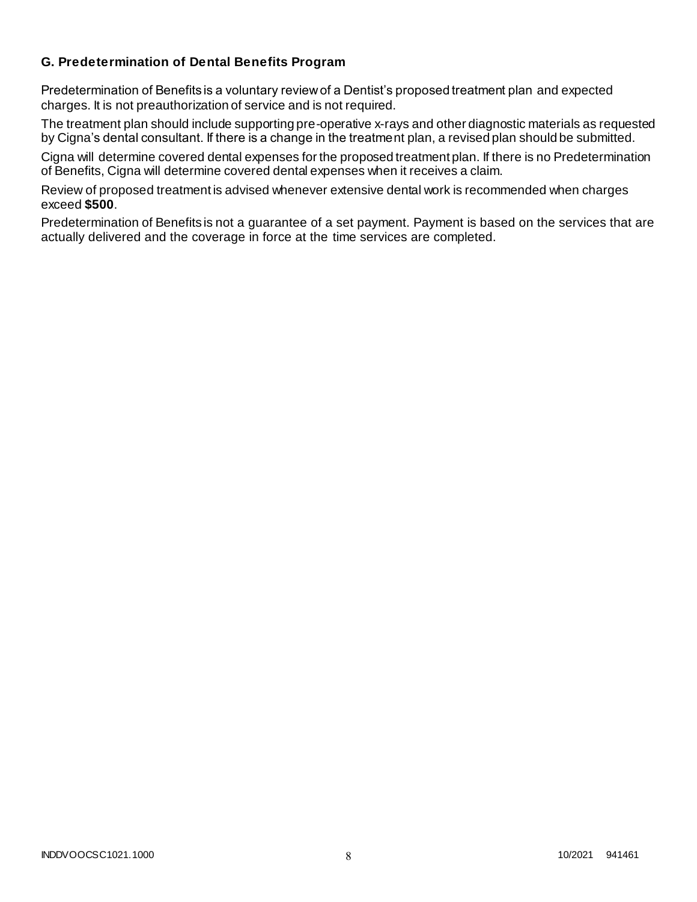### **G. Predetermination of Dental Benefits Program**

Predetermination of Benefits is a voluntary review of a Dentist's proposed treatment plan and expected charges. It is not preauthorization of service and is not required.

The treatment plan should include supporting pre-operative x-rays and other diagnostic materials as requested by Cigna's dental consultant. If there is a change in the treatment plan, a revised plan should be submitted.

Cigna will determine covered dental expenses for the proposed treatment plan. If there is no Predetermination of Benefits, Cigna will determine covered dental expenses when it receives a claim.

Review of proposed treatment is advised whenever extensive dental work is recommended when charges exceed **\$500**.

Predetermination of Benefits is not a guarantee of a set payment. Payment is based on the services that are actually delivered and the coverage in force at the time services are completed.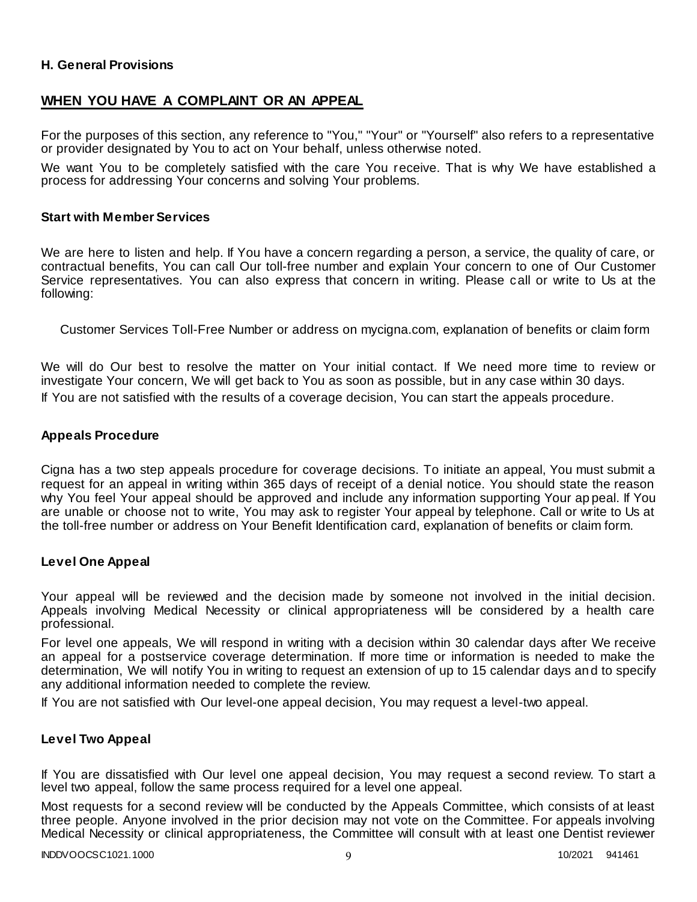### **H. General Provisions**

### **WHEN YOU HAVE A COMPLAINT OR AN APPEAL**

For the purposes of this section, any reference to "You," "Your" or "Yourself" also refers to a representative or provider designated by You to act on Your behalf, unless otherwise noted.

We want You to be completely satisfied with the care You receive. That is why We have established a process for addressing Your concerns and solving Your problems.

#### **Start with Member Services**

We are here to listen and help. If You have a concern regarding a person, a service, the quality of care, or contractual benefits, You can call Our toll-free number and explain Your concern to one of Our Customer Service representatives. You can also express that concern in writing. Please call or write to Us at the following:

Customer Services Toll-Free Number or address on mycigna.com, explanation of benefits or claim form

We will do Our best to resolve the matter on Your initial contact. If We need more time to review or investigate Your concern, We will get back to You as soon as possible, but in any case within 30 days. If You are not satisfied with the results of a coverage decision, You can start the appeals procedure.

### **Appeals Procedure**

Cigna has a two step appeals procedure for coverage decisions. To initiate an appeal, You must submit a request for an appeal in writing within 365 days of receipt of a denial notice. You should state the reason why You feel Your appeal should be approved and include any information supporting Your ap peal. If You are unable or choose not to write, You may ask to register Your appeal by telephone. Call or write to Us at the toll-free number or address on Your Benefit Identification card, explanation of benefits or claim form.

### **Level One Appeal**

Your appeal will be reviewed and the decision made by someone not involved in the initial decision. Appeals involving Medical Necessity or clinical appropriateness will be considered by a health care professional.

For level one appeals, We will respond in writing with a decision within 30 calendar days after We receive an appeal for a postservice coverage determination. If more time or information is needed to make the determination, We will notify You in writing to request an extension of up to 15 calendar days and to specify any additional information needed to complete the review.

If You are not satisfied with Our level-one appeal decision, You may request a level-two appeal.

### **Level Two Appeal**

If You are dissatisfied with Our level one appeal decision, You may request a second review. To start a level two appeal, follow the same process required for a level one appeal.

Most requests for a second review will be conducted by the Appeals Committee, which consists of at least three people. Anyone involved in the prior decision may not vote on the Committee. For appeals involving Medical Necessity or clinical appropriateness, the Committee will consult with at least one Dentist reviewer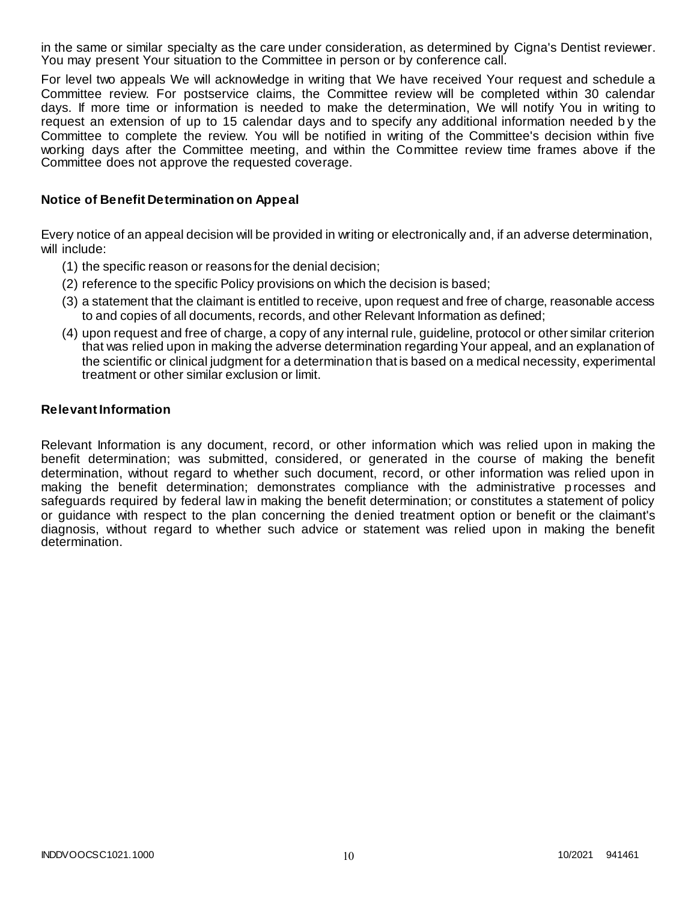in the same or similar specialty as the care under consideration, as determined by Cigna's Dentist reviewer. You may present Your situation to the Committee in person or by conference call.

For level two appeals We will acknowledge in writing that We have received Your request and schedule a Committee review. For postservice claims, the Committee review will be completed within 30 calendar days. If more time or information is needed to make the determination, We will notify You in writing to request an extension of up to 15 calendar days and to specify any additional information needed b y the Committee to complete the review. You will be notified in writing of the Committee's decision within five working days after the Committee meeting, and within the Committee review time frames above if the Committee does not approve the requested coverage.

### **Notice of Benefit Determination on Appeal**

Every notice of an appeal decision will be provided in writing or electronically and, if an adverse determination, will include:

- (1) the specific reason or reasons for the denial decision;
- (2) reference to the specific Policy provisions on which the decision is based;
- (3) a statement that the claimant is entitled to receive, upon request and free of charge, reasonable access to and copies of all documents, records, and other Relevant Information as defined;
- (4) upon request and free of charge, a copy of any internal rule, guideline, protocol or other similar criterion that was relied upon in making the adverse determination regarding Your appeal, and an explanation of the scientific or clinical judgment for a determination that is based on a medical necessity, experimental treatment or other similar exclusion or limit.

### **Relevant Information**

Relevant Information is any document, record, or other information which was relied upon in making the benefit determination; was submitted, considered, or generated in the course of making the benefit determination, without regard to whether such document, record, or other information was relied upon in making the benefit determination; demonstrates compliance with the administrative p rocesses and safeguards required by federal law in making the benefit determination; or constitutes a statement of policy or guidance with respect to the plan concerning the denied treatment option or benefit or the claimant's diagnosis, without regard to whether such advice or statement was relied upon in making the benefit determination.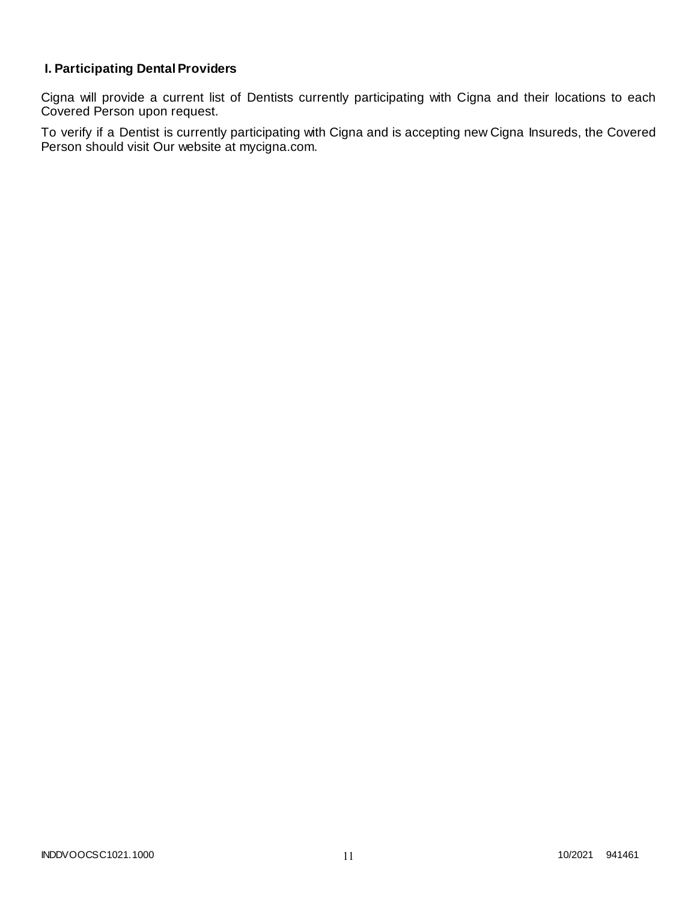# **I. Participating Dental Providers**

Cigna will provide a current list of Dentists currently participating with Cigna and their locations to each Covered Person upon request.

To verify if a Dentist is currently participating with Cigna and is accepting new Cigna Insureds, the Covered Person should visit Our website at mycigna.com.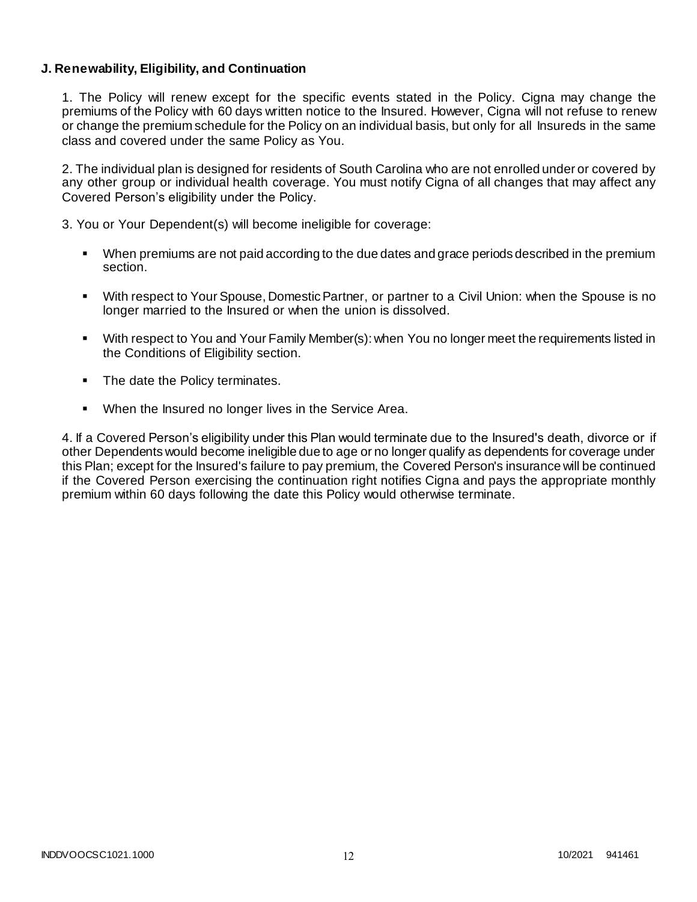### **J. Renewability, Eligibility, and Continuation**

1. The Policy will renew except for the specific events stated in the Policy. Cigna may change the premiums of the Policy with 60 days written notice to the Insured. However, Cigna will not refuse to renew or change the premium schedule for the Policy on an individual basis, but only for all Insureds in the same class and covered under the same Policy as You.

2. The individual plan is designed for residents of South Carolina who are not enrolled under or covered by any other group or individual health coverage. You must notify Cigna of all changes that may affect any Covered Person's eligibility under the Policy.

3. You or Your Dependent(s) will become ineligible for coverage:

- When premiums are not paid according to the due dates and grace periods described in the premium section.
- With respect to Your Spouse, Domestic Partner, or partner to a Civil Union: when the Spouse is no longer married to the Insured or when the union is dissolved.
- With respect to You and Your Family Member(s): when You no longer meet the requirements listed in the Conditions of Eligibility section.
- The date the Policy terminates.
- When the Insured no longer lives in the Service Area.

4. If a Covered Person's eligibility under this Plan would terminate due to the Insured's death, divorce or if other Dependents would become ineligible due to age or no longer qualify as dependents for coverage under this Plan; except for the Insured's failure to pay premium, the Covered Person's insurance will be continued if the Covered Person exercising the continuation right notifies Cigna and pays the appropriate monthly premium within 60 days following the date this Policy would otherwise terminate.